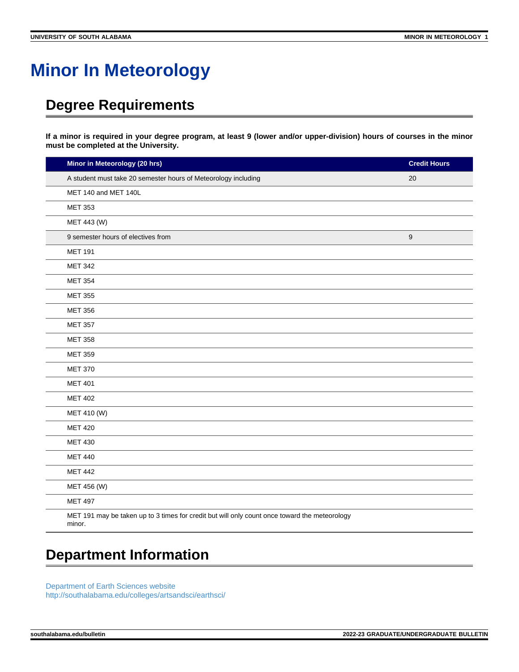## **Minor In Meteorology**

## **Degree Requirements**

**If a minor is required in your degree program, at least 9 (lower and/or upper-division) hours of courses in the minor must be completed at the University.**

| Minor in Meteorology (20 hrs)                                                                           | <b>Credit Hours</b> |
|---------------------------------------------------------------------------------------------------------|---------------------|
| A student must take 20 semester hours of Meteorology including                                          | 20                  |
| MET 140 and MET 140L                                                                                    |                     |
| <b>MET 353</b>                                                                                          |                     |
| MET 443 (W)                                                                                             |                     |
| 9 semester hours of electives from                                                                      | $\boldsymbol{9}$    |
| <b>MET 191</b>                                                                                          |                     |
| <b>MET 342</b>                                                                                          |                     |
| <b>MET 354</b>                                                                                          |                     |
| <b>MET 355</b>                                                                                          |                     |
| <b>MET 356</b>                                                                                          |                     |
| <b>MET 357</b>                                                                                          |                     |
| <b>MET 358</b>                                                                                          |                     |
| <b>MET 359</b>                                                                                          |                     |
| <b>MET 370</b>                                                                                          |                     |
| <b>MET 401</b>                                                                                          |                     |
| <b>MET 402</b>                                                                                          |                     |
| MET 410 (W)                                                                                             |                     |
| <b>MET 420</b>                                                                                          |                     |
| <b>MET 430</b>                                                                                          |                     |
| <b>MET 440</b>                                                                                          |                     |
| <b>MET 442</b>                                                                                          |                     |
| MET 456 (W)                                                                                             |                     |
| <b>MET 497</b>                                                                                          |                     |
| MET 191 may be taken up to 3 times for credit but will only count once toward the meteorology<br>minor. |                     |

## **Department Information**

[Department of Earth Sciences website](https://www.southalabama.edu/earthsci/) [http://southalabama.edu/colleges/artsandsci/earthsci/](https://www.southalabama.edu/colleges/artsandsci/earthsci/)